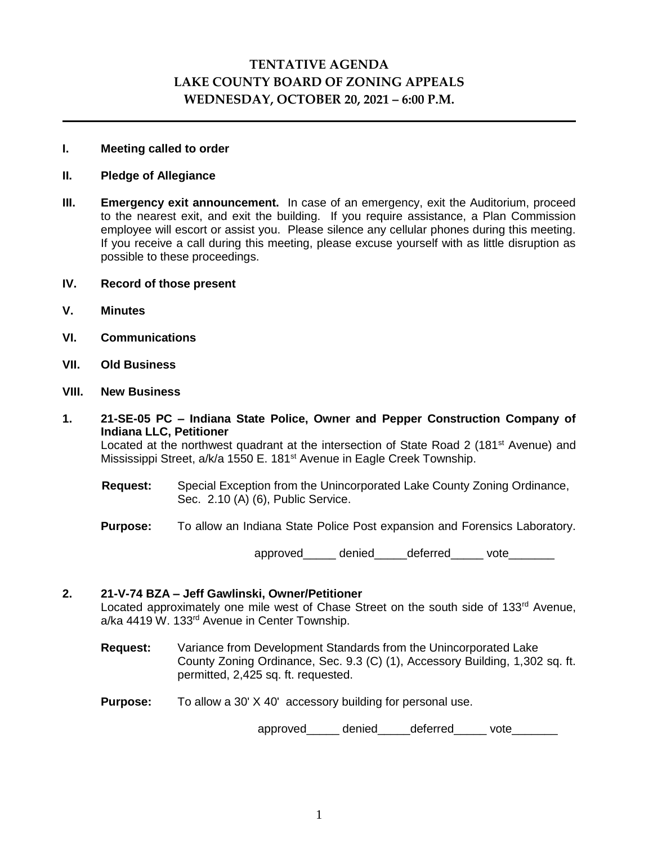# **TENTATIVE AGENDA LAKE COUNTY BOARD OF ZONING APPEALS WEDNESDAY, OCTOBER 20, 2021 – 6:00 P.M.**

## **I. Meeting called to order**

## **II. Pledge of Allegiance**

- **III. Emergency exit announcement.** In case of an emergency, exit the Auditorium, proceed to the nearest exit, and exit the building. If you require assistance, a Plan Commission employee will escort or assist you. Please silence any cellular phones during this meeting. If you receive a call during this meeting, please excuse yourself with as little disruption as possible to these proceedings.
- **IV. Record of those present**
- **V. Minutes**
- **VI. Communications**
- **VII. Old Business**

#### **VIII. New Business**

- **1. 21-SE-05 PC – Indiana State Police, Owner and Pepper Construction Company of Indiana LLC, Petitioner** Located at the northwest quadrant at the intersection of State Road 2 (181<sup>st</sup> Avenue) and Mississippi Street, a/k/a 1550 E. 181<sup>st</sup> Avenue in Eagle Creek Township.
	- **Request:** Special Exception from the Unincorporated Lake County Zoning Ordinance, Sec. 2.10 (A) (6), Public Service.
	- **Purpose:** To allow an Indiana State Police Post expansion and Forensics Laboratory.

approved\_\_\_\_\_\_ denied deferred vote

# **2. 21-V-74 BZA – Jeff Gawlinski, Owner/Petitioner**

Located approximately one mile west of Chase Street on the south side of 133<sup>rd</sup> Avenue, a/ka 4419 W. 133rd Avenue in Center Township.

- **Request:** Variance from Development Standards from the Unincorporated Lake County Zoning Ordinance, Sec. 9.3 (C) (1), Accessory Building, 1,302 sq. ft. permitted, 2,425 sq. ft. requested.
- **Purpose:** To allow a 30' X 40' accessory building for personal use.

approved\_\_\_\_\_\_ denied\_\_\_\_\_ deferred\_\_\_\_\_\_ vote\_\_\_\_\_\_\_